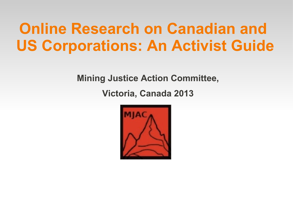#### **Online Research on Canadian and US Corporations: An Activist Guide**

**Mining Justice Action Committee, Victoria, Canada 2013**

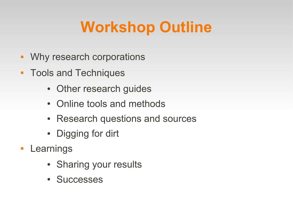# **Workshop Outline**

- **Why research corporations**
- **Tools and Techniques** 
	- Other research guides
	- Online tools and methods
	- Research questions and sources
	- Digging for dirt
- **Learnings** 
	- Sharing your results
	- Successes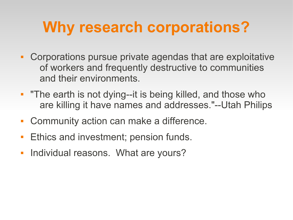## **Why research corporations?**

- Corporations pursue private agendas that are exploitative of workers and frequently destructive to communities and their environments.
- **The earth is not dying--it is being killed, and those who** are killing it have names and addresses."--Utah Philips
- Community action can make a difference.
- **Ethics and investment; pension funds.**
- $\mathcal{L}_{\mathcal{A}}$ Individual reasons. What are yours?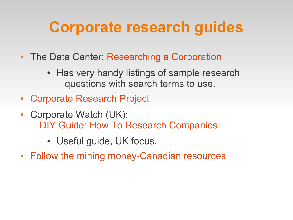## **Corporate research guides**

- The Data Center: [Researching a Corporation](http://www.datacenter.org/research/corp_res.htm)
	- Has very handy listings of sample research questions with search terms to use.
- [Corporate Research Project](http://www.corp-research.org/howto)
- Corporate Watch (UK): [DIY Guide: How To Research Companies](http://www.corporatewatch.org.uk/?lid=2301)
	- Useful guide, UK focus.
- [Follow the mining money-Canadian resources](http://www.google.com/url?sa=t&rct=j&q=%22follow+the+mining+money+resources%22&source=web&cd=2&cad=rja&ved=0CCoQFjAB&url=http://wman-info.org/resources/2007conferencepresentations/follow%20the%20mining%20money%20canadian%20resources.doc&ei=YnKDUJzfC8aiiQLpioGoBA&usg=AFQjCNF_vzfvaTjYJmmyoLwoNbblM6mEsA)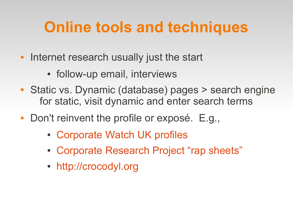## **Online tools and techniques**

- **Internet research usually just the start** 
	- follow-up email, interviews
- Static vs. Dynamic (database) pages > search engine for static, visit dynamic and enter search terms
- Don't reinvent the profile or exposé. E.g.,
	- [Corporate Watch UK profiles](http://www.corporatewatch.org.uk/?lid=402)
	- [Corporate Research Project "rap sheets"](http://www.corp-research.org/corporaterapsheets)
	- [http://crocodyl.org](http://crocodyl.org/)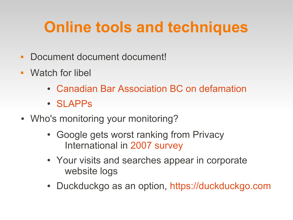# **Online tools and techniques**

- Document document document!
- Watch for libel
	- [Canadian Bar Association BC on defamation](http://www.cba.org/bc/public_media/rights/240.aspx)
	- [SLAPPs](http://en.wikipedia.org/wiki/Strategic_lawsuit_against_public_participation)
- Who's monitoring your monitoring?
	- Google gets worst ranking from Privacy International in [2007 survey](http://news.bbc.co.uk/2/hi/technology/6740075.stm)
	- Your visits and searches appear in corporate website logs
	- Duckduckgo as an option, [https://duckduckgo.com](https://duckduckgo.com/)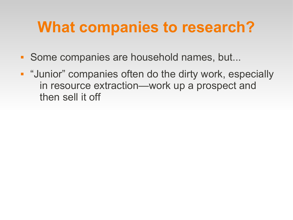#### **What companies to research?**

- Some companies are household names, but...
- **"Junior" companies often do the dirty work, especially** in resource extraction—work up a prospect and then sell it off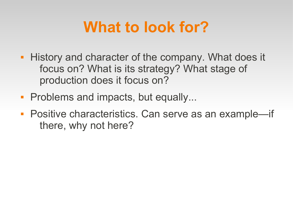#### **What to look for?**

- **History and character of the company. What does it** focus on? What is its strategy? What stage of production does it focus on?
- **Problems and impacts, but equally...**
- Positive characteristics. Can serve as an example—if there, why not here?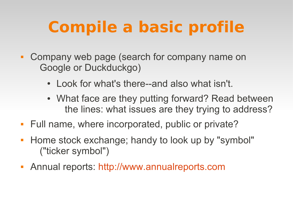# **Compile a basic profile**

- Company web page (search for company name on Google or Duckduckgo)
	- Look for what's there--and also what isn't.
	- What face are they putting forward? Read between the lines: what issues are they trying to address?
- Full name, where incorporated, public or private?
- **Home stock exchange; handy to look up by "symbol"** ("ticker symbol")
- Annual reports: [http://www.annualreports.com](http://www.annualreports.com/)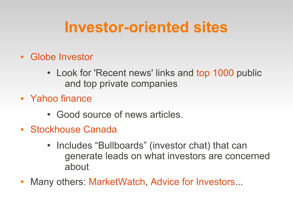#### **Investor-oriented sites**

- [Globe Investor](http://www.theglobeandmail.com/globe-investor/)
	- Look for 'Recent news' links and [top 1000](http://www.theglobeandmail.com/report-on-business/rob-magazine/top-1000/) public and top private companies
- [Yahoo finance](http://finance.yahoo.com/)
	- Good source of news articles.
- **[Stockhouse Canada](http://www.stockhouse.ca/)** 
	- Includes "Bullboards" (investor chat) that can generate leads on what investors are concerned about
- Many others: [MarketWatch](http://www.marketwatch.com/), [Advice for Investors](http://www.adviceforinvestors.com/)...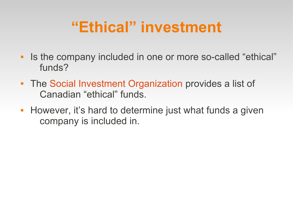## **"Ethical" investment**

- If the company included in one or more so-called "ethical" funds?
- **The [Social Investment Organization](http://www.socialinvestment.ca/) provides a list of** Canadian "ethical" funds.
- **However, it's hard to determine just what funds a given** company is included in.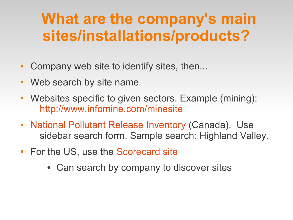#### **What are the company's main sites/installations/products?**

- Company web site to identify sites, then...
- Web search by site name
- Websites specific to given sectors. Example (mining): <http://www.infomine.com/minesite>
- **[National Pollutant Release Inventory](http://www.ec.gc.ca/inrp-npri/) (Canada). Use** sidebar search form. Sample search: Highland Valley.
- For the US, use the [Scorecard site](http://scorecard.goodguide.com/)
	- Can search by company to discover sites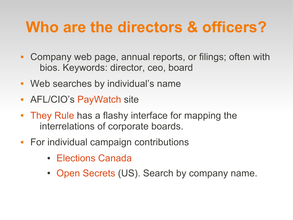## **Who are the directors & officers?**

- Company web page, annual reports, or filings; often with bios. Keywords: director, ceo, board
- Web searches by individual's name
- AFL/CIO's [PayWatch](http://www.aflcio.org/Corporate-Watch/CEO-Pay-and-the-99) site
- [They Rule](http://theyrule.net/) has a flashy interface for mapping the interrelations of corporate boards.
- **For individual campaign contributions** 
	- [Elections Canada](http://www.elections.ca/scripts/webpep/fin/welcome.aspx?lang=e)
	- [Open Secrets](http://www.opensecrets.org/) (US). Search by company name.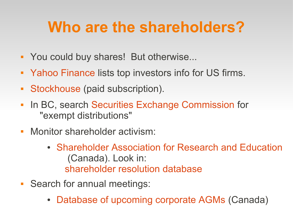### **Who are the shareholders?**

- You could buy shares! But otherwise...
- [Yahoo Finance](http://finance.yahoo.com/) lists top investors info for US firms.
- **[Stockhouse](http://stockhouse.com/)** (paid subscription).
- $\overline{\phantom{a}}$ In BC, search [Securities Exchange Commission](http://www.bcsc.bc.ca/) for "exempt distributions"
- **Monitor shareholder activism:** 
	- [Shareholder Association for Research and Education](http://www.share.ca/) (Canada). Look in: [shareholder resolution database](http://www.share.ca/en/shareholderdb)
- Search for annual meetings:
	- [Database of upcoming corporate AGMs](http://www.cds.ca/applications/shmeetings/shmeetings.nsf/LIST-EN-?OpenView&Expand=1) (Canada)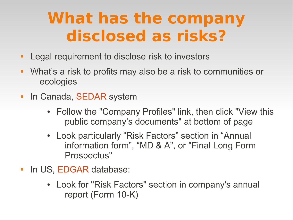## **What has the company disclosed as risks?**

- **-** Legal requirement to disclose risk to investors
- What's a risk to profits may also be a risk to communities or ecologies
- $\overline{\phantom{a}}$ In Canada, [SEDAR](http://www.sedar.com/) system
	- Follow the "Company Profiles" link, then click "View this public company's documents" at bottom of page
	- Look particularly "Risk Factors" section in "Annual information form", "MD & A", or "Final Long Form Prospectus"
- $\mathcal{L}_{\mathcal{A}}$ In US, [EDGAR](http://www.sec.gov/edgar.shtml) database:
	- Look for "Risk Factors" section in company's annual report (Form 10-K)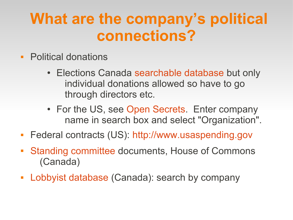#### **What are the company's political connections?**

- **Political donations** 
	- Elections Canada [searchable database](http://www.elections.ca/scripts/webpep/fin/welcome.aspx?lang=e) but only individual donations allowed so have to go through directors etc.
	- For the US, see [Open Secrets](http://www.opensecrets.org/). Enter company name in search box and select "Organization".
- **Federal contracts (US): [http://www.usaspending.gov](http://www.usaspending.gov/)**
- [Standing committee](http://www.parl.gc.ca/CommitteeBusiness/SearchBrowseEvidence.aspx?Arpi=1&arpist=s&arpit=mining&arpidf=2011/06/02&arpidt=&arpid=False&arpij=False&arpice=True&arpicl=&arpialtid=&arpitp=mining&arpics=False&arpicp=False&arpicd=False&arpico=False&arpicc=False&arpicpd=0&arpicid=0&ps=Parl41Ses1&arpisb=Publication&arpirpp=10&arpibs=False&Language=E&Mode=1&Parl=41&Ses=1#TopSearch) documents, House of Commons (Canada)
- **[Lobbyist database](https://ocl-cal.gc.ca/app/secure/orl/lrrs/do/pblcSrch?lang=eng) (Canada): search by company**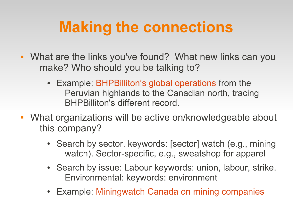## **Making the connections**

- What are the links you've found? What new links can you make? Who should you be talking to?
	- Example: [BHPBilliton's global operations](http://www.bhpbilliton.com/home/businesses/pages/globaloperationsmap.aspx) from the Peruvian highlands to the Canadian north, tracing BHPBilliton's different record.
- What organizations will be active on/knowledgeable about this company?
	- Search by sector. keywords: [sector] watch (e.g., mining watch). Sector-specific, e.g., sweatshop for apparel
	- Search by issue: Labour keywords: union, labour, strike. Environmental: keywords: environment
	- Example: [Miningwatch Canada on mining companies](http://www.miningwatch.ca/faceted-search/facet/taxonomy:4315/term/taxonomy:4318.5371)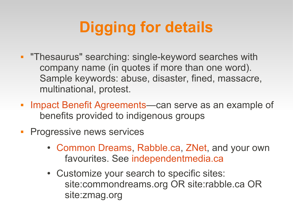# **Digging for details**

- **"Thesaurus" searching: single-keyword searches with** company name (in quotes if more than one word). Sample keywords: abuse, disaster, fined, massacre, multinational, protest.
- $\overline{\phantom{a}}$ [Impact Benefit Agreements](http://www.impactandbenefit.com/IBA_Database_List)—can serve as an example of benefits provided to indigenous groups
- **Progressive news services** 
	- [Common Dreams](http://www.commondreams.org/), [Rabble.ca](http://www.rabble.ca/), [ZNet,](http://www.zmag.org/znet) and your own favourites. See [independentmedia.ca](http://www.independentmedia.ca/)
	- Customize your search to specific sites: site:commondreams.org OR site:rabble.ca OR site:zmag.org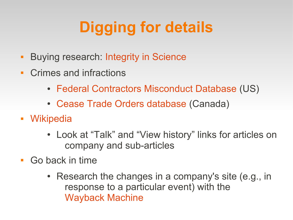# **Digging for details**

- **Buying research: [Integrity in Science](http://www.cspinet.org/integrity)**
- Crimes and infractions
	- [Federal Contractors Misconduct Database](http://www.contractormisconduct.org/) (US)
	- [Cease Trade Orders database](http://cto-iov.csa-acvm.ca/) (Canada)
- [Wikipedia](http://en.wikipedia.org/)
	- Look at "Talk" and "View history" links for articles on company and sub-articles
- Go back in time
	- Research the changes in a company's site (e.g., in response to a particular event) with the [Wayback Machine](http://archive.org/web/web.php)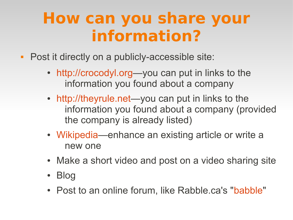## **How can you share your information?**

- **Post it directly on a publicly-accessible site:** 
	- [http://crocodyl.org](http://crocodyl.org/)—you can put in links to the information you found about a company
	- [http://theyrule.net—](http://theyrule.net/)you can put in links to the information you found about a company (provided the company is already listed)
	- [Wikipedia](http://en.wikipedia.org/)—enhance an existing article or write a new one
	- Make a short video and post on a video sharing site
	- Blog
	- Post to an online forum, like Rabble.ca's "[babble](http://www.rabble.ca/babble)"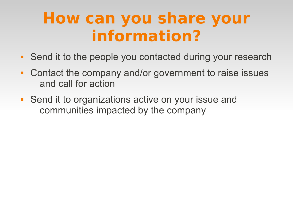## **How can you share your information?**

- Send it to the people you contacted during your research
- Contact the company and/or government to raise issues and call for action
- **Send it to organizations active on your issue and** communities impacted by the company